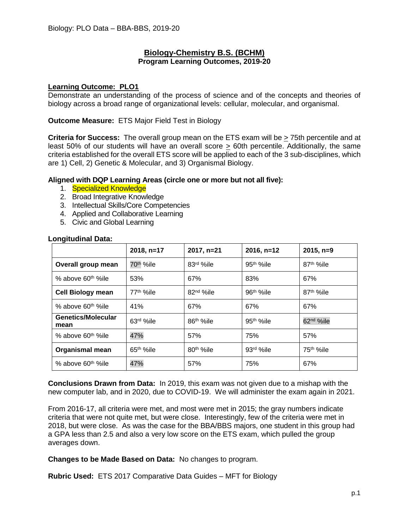#### **Biology-Chemistry B.S. (BCHM) Program Learning Outcomes, 2019-20**

#### **Learning Outcome: PLO1**

Demonstrate an understanding of the process of science and of the concepts and theories of biology across a broad range of organizational levels: cellular, molecular, and organismal.

#### **Outcome Measure:** ETS Major Field Test in Biology

**Criteria for Success:** The overall group mean on the ETS exam will be > 75th percentile and at least 50% of our students will have an overall score > 60th percentile. Additionally, the same criteria established for the overall ETS score will be applied to each of the 3 sub-disciplines, which are 1) Cell, 2) Genetic & Molecular, and 3) Organismal Biology.

#### **Aligned with DQP Learning Areas (circle one or more but not all five):**

- 1. Specialized Knowledge
- 2. Broad Integrative Knowledge
- 3. Intellectual Skills/Core Competencies
- 4. Applied and Collaborative Learning
- 5. Civic and Global Learning

|                                   | 2018, n=17             | 2017, n=21             | $2016, n=12$          | $2015, n=9$            |
|-----------------------------------|------------------------|------------------------|-----------------------|------------------------|
| Overall group mean                | 70 <sup>th</sup> %ile  | 83rd %ile              | 95 <sup>th</sup> %ile | 87 <sup>th</sup> %ile  |
| % above 60 <sup>th %</sup> ile    | 53%                    | 67%                    | 83%                   | 67%                    |
| <b>Cell Biology mean</b>          | 77 <sup>th %</sup> ile | 82 <sup>nd</sup> %ile  | 96 <sup>th</sup> %ile | 87 <sup>th %</sup> ile |
| % above 60 <sup>th %</sup> ile    | 41%                    | 67%                    | 67%                   | 67%                    |
| <b>Genetics/Molecular</b><br>mean | 63rd %ile              | 86 <sup>th %</sup> ile | 95 <sup>th</sup> %ile | 62 <sup>nd</sup> %ile  |
| % above 60 <sup>th %</sup> ile    | 47%                    | 57%                    | 75%                   | 57%                    |
| <b>Organismal mean</b>            | $65th$ %ile            | 80 <sup>th</sup> %ile  | 93rd %ile             | 75 <sup>th</sup> %ile  |
| % above 60 <sup>th %</sup> ile    | 47%                    | 57%                    | 75%                   | 67%                    |

#### **Longitudinal Data:**

**Conclusions Drawn from Data:** In 2019, this exam was not given due to a mishap with the new computer lab, and in 2020, due to COVID-19. We will administer the exam again in 2021.

From 2016-17, all criteria were met, and most were met in 2015; the gray numbers indicate criteria that were not quite met, but were close. Interestingly, few of the criteria were met in 2018, but were close. As was the case for the BBA/BBS majors, one student in this group had a GPA less than 2.5 and also a very low score on the ETS exam, which pulled the group averages down.

**Changes to be Made Based on Data:** No changes to program.

**Rubric Used:** ETS 2017 Comparative Data Guides – MFT for Biology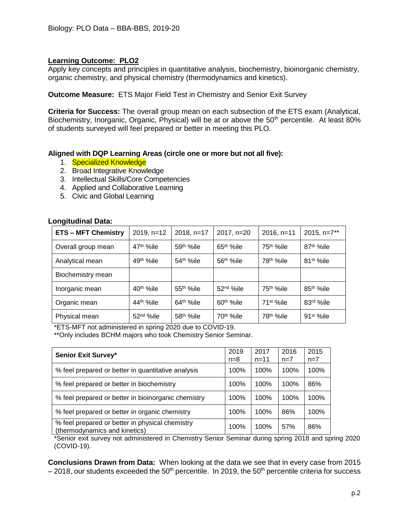Apply key concepts and principles in quantitative analysis, biochemistry, bioinorganic chemistry, organic chemistry, and physical chemistry (thermodynamics and kinetics).

**Outcome Measure:** ETS Major Field Test in Chemistry and Senior Exit Survey

**Criteria for Success:** The overall group mean on each subsection of the ETS exam (Analytical, Biochemistry, Inorganic, Organic, Physical) will be at or above the 50<sup>th</sup> percentile. At least 80% of students surveyed will feel prepared or better in meeting this PLO.

#### **Aligned with DQP Learning Areas (circle one or more but not all five):**

- 1. Specialized Knowledge
- 2. Broad Integrative Knowledge
- 3. Intellectual Skills/Core Competencies
- 4. Applied and Collaborative Learning
- 5. Civic and Global Learning

# **ETS – MFT Chemistry** 2019, n=12 2018, n=17 2017, n=20 2016, n=11 2015, n=7\*\* Overall group mean  $\left(47^{th}$  %ile  $\left(59^{th}$  %ile  $\left(65^{th}$  %ile  $\left(75^{th}$  %ile  $\left(87^{th}$  %ile Analytical mean  $49^{th}$  %ile  $\left(54^{th}$  %ile  $\left(56^{th}$  %ile  $\left(78^{th}$  %ile  $\left(81^{st}$  %ile Biochemistry mean Inorganic mean  $\vert$  40<sup>th</sup> %ile  $\vert$  55<sup>th %</sup>ile 52<sup>nd</sup> %ile 75<sup>th</sup> %ile 85<sup>th</sup> %ile Organic mean  $44^{\text{th}}$  %ile  $64^{\text{th}}$  %ile  $60^{\text{th}}$  %ile 71st %ile 83<sup>rd</sup> %ile Physical mean  $\vert$  52<sup>nd</sup> %ile  $158<sup>th</sup>$  %ile  $170<sup>th</sup>$  %ile  $178<sup>th</sup>$  %ile 91st %ile

#### **Longitudinal Data:**

\*ETS-MFT not administered in spring 2020 due to COVID-19.

\*\*Only includes BCHM majors who took Chemistry Senior Seminar.

| <b>Senior Exit Survey*</b>                                                       | 2019<br>$n = 8$ | 2017<br>$n = 11$ | 2016<br>$n=7$ | 2015<br>$n=7$ |
|----------------------------------------------------------------------------------|-----------------|------------------|---------------|---------------|
| % feel prepared or better in quantitative analysis                               | 100%            | 100%             | 100%          | 100%          |
| % feel prepared or better in biochemistry                                        | 100%            | 100%             | 100%          | 86%           |
| % feel prepared or better in bioinorganic chemistry                              | 100%            | 100%             | 100%          | 100%          |
| % feel prepared or better in organic chemistry                                   | 100%            | 100%             | 86%           | 100%          |
| % feel prepared or better in physical chemistry<br>(thermodynamics and kinetics) | 100%            | 100%             | 57%           | 86%           |

\*Senior exit survey not administered in Chemistry Senior Seminar during spring 2018 and spring 2020 (COVID-19).

**Conclusions Drawn from Data:** When looking at the data we see that in every case from 2015  $-2018$ , our students exceeded the 50<sup>th</sup> percentile. In 2019, the 50<sup>th</sup> percentile criteria for success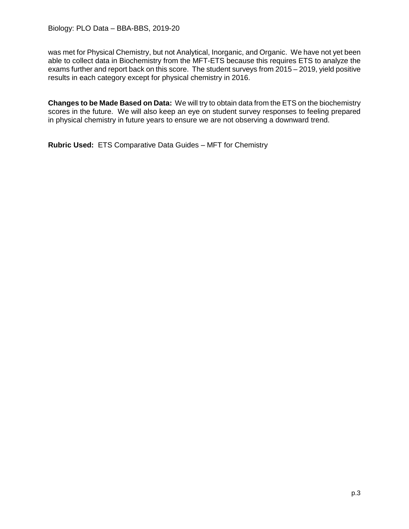was met for Physical Chemistry, but not Analytical, Inorganic, and Organic. We have not yet been able to collect data in Biochemistry from the MFT-ETS because this requires ETS to analyze the exams further and report back on this score. The student surveys from 2015 – 2019, yield positive results in each category except for physical chemistry in 2016.

**Changes to be Made Based on Data:** We will try to obtain data from the ETS on the biochemistry scores in the future. We will also keep an eye on student survey responses to feeling prepared in physical chemistry in future years to ensure we are not observing a downward trend.

**Rubric Used:** ETS Comparative Data Guides – MFT for Chemistry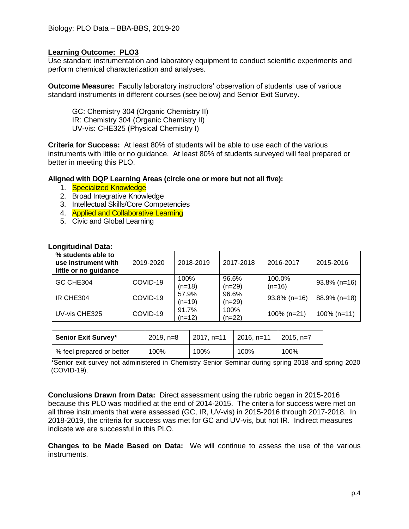Use standard instrumentation and laboratory equipment to conduct scientific experiments and perform chemical characterization and analyses.

**Outcome Measure:** Faculty laboratory instructors' observation of students' use of various standard instruments in different courses (see below) and Senior Exit Survey.

GC: Chemistry 304 (Organic Chemistry II) IR: Chemistry 304 (Organic Chemistry II) UV-vis: CHE325 (Physical Chemistry I)

**Criteria for Success:** At least 80% of students will be able to use each of the various instruments with little or no guidance. At least 80% of students surveyed will feel prepared or better in meeting this PLO.

#### **Aligned with DQP Learning Areas (circle one or more but not all five):**

- 1. Specialized Knowledge
- 2. Broad Integrative Knowledge
- 3. Intellectual Skills/Core Competencies
- 4. Applied and Collaborative Learning
- 5. Civic and Global Learning

| % students able to<br>use instrument with<br>little or no guidance | 2019-2020 | 2018-2019         | 2017-2018         | 2016-2017          | 2015-2016       |
|--------------------------------------------------------------------|-----------|-------------------|-------------------|--------------------|-----------------|
| GC CHE304                                                          | COVID-19  | 100%<br>$(n=18)$  | 96.6%<br>$(n=29)$ | 100.0%<br>$(n=16)$ | $93.8\%$ (n=16) |
| IR CHE304                                                          | COVID-19  | 57.9%<br>$(n=19)$ | 96.6%<br>$(n=29)$ | $93.8\%$ (n=16)    | 88.9% (n=18)    |
| UV-vis CHE325                                                      | COVID-19  | 91.7%<br>$(n=12)$ | 100%<br>$(n=22)$  | $100\%$ (n=21)     | $100\%$ (n=11)  |

#### **Longitudinal Data:**

| Senior Exit Survey*       | $2019, n=8$ | $12017, n=11$ | $\vert$ 2016, n=11 | $\mid$ 2015. n=7 |
|---------------------------|-------------|---------------|--------------------|------------------|
| % feel prepared or better | 100%        | 100%          | 100%               | 100%             |

\*Senior exit survey not administered in Chemistry Senior Seminar during spring 2018 and spring 2020 (COVID-19).

**Conclusions Drawn from Data:** Direct assessment using the rubric began in 2015-2016 because this PLO was modified at the end of 2014-2015. The criteria for success were met on all three instruments that were assessed (GC, IR, UV-vis) in 2015-2016 through 2017-2018. In 2018-2019, the criteria for success was met for GC and UV-vis, but not IR. Indirect measures indicate we are successful in this PLO.

**Changes to be Made Based on Data:** We will continue to assess the use of the various instruments.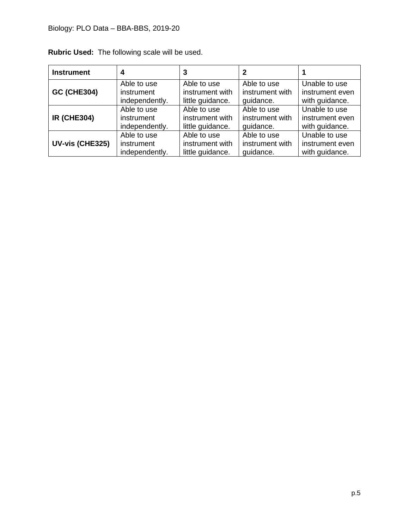# Biology: PLO Data – BBA-BBS, 2019-20

| <b>Instrument</b>  |                |                  |                 |                 |
|--------------------|----------------|------------------|-----------------|-----------------|
| <b>GC (CHE304)</b> | Able to use    | Able to use      | Able to use     | Unable to use   |
|                    | instrument     | instrument with  | instrument with | instrument even |
|                    | independently. | little guidance. | quidance.       | with guidance.  |
| <b>IR (CHE304)</b> | Able to use    | Able to use      | Able to use     | Unable to use   |
|                    | instrument     | instrument with  | instrument with | instrument even |
|                    | independently. | little guidance. | quidance.       | with guidance.  |
| UV-vis (CHE325)    | Able to use    | Able to use      | Able to use     | Unable to use   |
|                    | instrument     | instrument with  | instrument with | instrument even |
|                    | independently. | little guidance. | quidance.       | with guidance.  |

**Rubric Used:** The following scale will be used.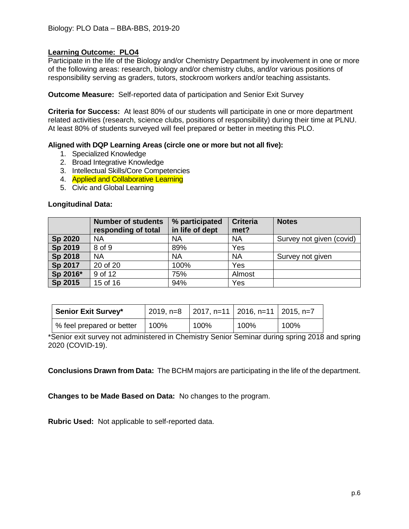Participate in the life of the Biology and/or Chemistry Department by involvement in one or more of the following areas: research, biology and/or chemistry clubs, and/or various positions of responsibility serving as graders, tutors, stockroom workers and/or teaching assistants.

**Outcome Measure:** Self-reported data of participation and Senior Exit Survey

**Criteria for Success:** At least 80% of our students will participate in one or more department related activities (research, science clubs, positions of responsibility) during their time at PLNU. At least 80% of students surveyed will feel prepared or better in meeting this PLO.

#### **Aligned with DQP Learning Areas (circle one or more but not all five):**

- 1. Specialized Knowledge
- 2. Broad Integrative Knowledge
- 3. Intellectual Skills/Core Competencies
- 4. **Applied and Collaborative Learning**
- 5. Civic and Global Learning

#### **Longitudinal Data:**

|          | <b>Number of students</b><br>responding of total | % participated<br>in life of dept | <b>Criteria</b><br>met? | <b>Notes</b>             |
|----------|--------------------------------------------------|-----------------------------------|-------------------------|--------------------------|
| Sp 2020  | <b>NA</b>                                        | <b>NA</b>                         | <b>NA</b>               | Survey not given (covid) |
| Sp 2019  | 8 of 9                                           | 89%                               | Yes                     |                          |
| Sp 2018  | <b>NA</b>                                        | <b>NA</b>                         | <b>NA</b>               | Survey not given         |
| Sp 2017  | 20 of 20                                         | 100%                              | Yes                     |                          |
| Sp 2016* | 9 of 12                                          | 75%                               | Almost                  |                          |
| Sp 2015  | 15 of 16                                         | 94%                               | Yes                     |                          |

| <b>Senior Exit Survey*</b> |      | 2019, n=8 $\vert$ 2017, n=11 $\vert$ 2016, n=11 $\vert$ 2015, n=7 |      |      |
|----------------------------|------|-------------------------------------------------------------------|------|------|
| % feel prepared or better  | 100% | 100%                                                              | 100% | 100% |

\*Senior exit survey not administered in Chemistry Senior Seminar during spring 2018 and spring 2020 (COVID-19).

**Conclusions Drawn from Data:** The BCHM majors are participating in the life of the department.

**Changes to be Made Based on Data:** No changes to the program.

**Rubric Used:** Not applicable to self-reported data.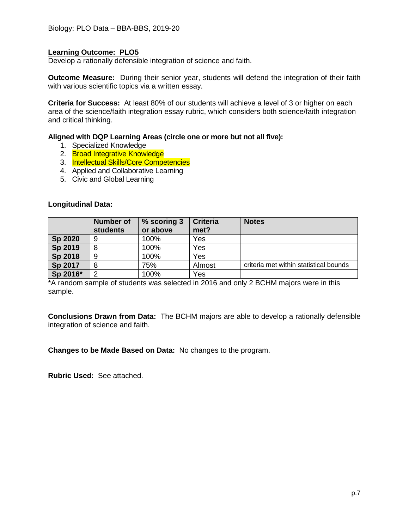Develop a rationally defensible integration of science and faith.

**Outcome Measure:** During their senior year, students will defend the integration of their faith with various scientific topics via a written essay.

**Criteria for Success:** At least 80% of our students will achieve a level of 3 or higher on each area of the science/faith integration essay rubric, which considers both science/faith integration and critical thinking.

#### **Aligned with DQP Learning Areas (circle one or more but not all five):**

- 1. Specialized Knowledge
- 2. Broad Integrative Knowledge
- 3. Intellectual Skills/Core Competencies
- 4. Applied and Collaborative Learning
- 5. Civic and Global Learning

|          | <b>Number of</b><br><b>students</b> | % scoring 3<br>or above | <b>Criteria</b><br>met? | <b>Notes</b>                           |
|----------|-------------------------------------|-------------------------|-------------------------|----------------------------------------|
| Sp 2020  |                                     | 100%                    | Yes                     |                                        |
| Sp 2019  |                                     | 100%                    | Yes                     |                                        |
| Sp 2018  | 9                                   | 100%                    | Yes                     |                                        |
| Sp 2017  |                                     | 75%                     | Almost                  | criteria met within statistical bounds |
| Sp 2016* |                                     | 100%                    | Yes                     |                                        |

#### **Longitudinal Data:**

\*A random sample of students was selected in 2016 and only 2 BCHM majors were in this sample.

**Conclusions Drawn from Data:** The BCHM majors are able to develop a rationally defensible integration of science and faith.

**Changes to be Made Based on Data:** No changes to the program.

**Rubric Used:** See attached.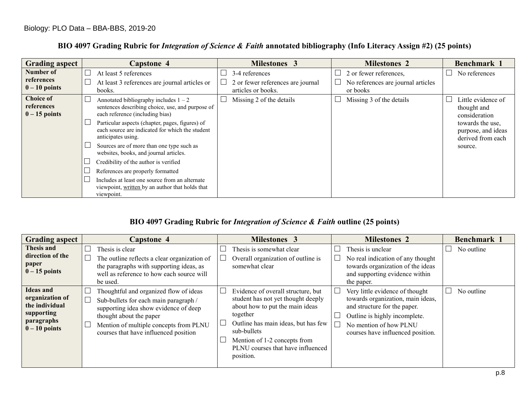| <b>Grading aspect</b>                             | <b>Capstone 4</b>                                                                                                                                                                                                                                                                                                                                                                                                                                                                                                                                            | <b>Milestones 3</b>                                 | <b>Milestones 2</b>                                          | Benchmark 1                                                                                                                  |
|---------------------------------------------------|--------------------------------------------------------------------------------------------------------------------------------------------------------------------------------------------------------------------------------------------------------------------------------------------------------------------------------------------------------------------------------------------------------------------------------------------------------------------------------------------------------------------------------------------------------------|-----------------------------------------------------|--------------------------------------------------------------|------------------------------------------------------------------------------------------------------------------------------|
| Number of<br>references<br>$0 - 10$ points        | At least 5 references<br>At least 3 references are journal articles or                                                                                                                                                                                                                                                                                                                                                                                                                                                                                       | 3-4 references<br>2 or fewer references are journal | 2 or fewer references,<br>No references are journal articles | No references                                                                                                                |
| <b>Choice of</b><br>references<br>$0 - 15$ points | books.<br>Annotated bibliography includes $1 - 2$<br>sentences describing choice, use, and purpose of<br>each reference (including bias)<br>Particular aspects (chapter, pages, figures) of<br>each source are indicated for which the student<br>anticipates using.<br>Sources are of more than one type such as<br>websites, books, and journal articles.<br>Credibility of the author is verified<br>References are properly formatted<br>Includes at least one source from an alternate<br>viewpoint, written by an author that holds that<br>viewpoint. | articles or books.<br>Missing 2 of the details      | or books<br>Missing 3 of the details                         | Little evidence of<br>thought and<br>consideration<br>towards the use,<br>purpose, and ideas<br>derived from each<br>source. |

### **BIO 4097 Grading Rubric for** *Integration of Science & Faith* **annotated bibliography (Info Literacy Assign #2) (25 points)**

### **BIO 4097 Grading Rubric for** *Integration of Science & Faith* **outline (25 points)**

| <b>Grading aspect</b>                                                                                     |                             | Capstone 4                                                                                                                                                                                                                             |        | <b>Milestones 3</b>                                                                                                                                                                                                                                             | <b>Milestones 2</b>                                                                                                                                                                                  | <b>Benchmark 1</b> |
|-----------------------------------------------------------------------------------------------------------|-----------------------------|----------------------------------------------------------------------------------------------------------------------------------------------------------------------------------------------------------------------------------------|--------|-----------------------------------------------------------------------------------------------------------------------------------------------------------------------------------------------------------------------------------------------------------------|------------------------------------------------------------------------------------------------------------------------------------------------------------------------------------------------------|--------------------|
| Thesis and<br>direction of the<br>paper<br>$0-15$ points                                                  | Thesis is clear<br>be used. | The outline reflects a clear organization of<br>the paragraphs with supporting ideas, as<br>well as reference to how each source will                                                                                                  |        | Thesis is somewhat clear<br>Overall organization of outline is<br>somewhat clear                                                                                                                                                                                | Thesis is unclear<br>No real indication of any thought<br>towards organization of the ideas<br>and supporting evidence within<br>the paper.                                                          | No outline         |
| <b>Ideas</b> and<br>organization of<br>the individual<br>supporting<br><i>paragraphs</i><br>$0-10$ points |                             | Thoughtful and organized flow of ideas<br>Sub-bullets for each main paragraph /<br>supporting idea show evidence of deep<br>thought about the paper<br>Mention of multiple concepts from PLNU<br>courses that have influenced position | $\Box$ | Evidence of overall structure, but<br>student has not yet thought deeply<br>about how to put the main ideas<br>together<br>Outline has main ideas, but has few<br>sub-bullets<br>Mention of 1-2 concepts from<br>PLNU courses that have influenced<br>position. | Very little evidence of thought<br>towards organization, main ideas,<br>and structure for the paper.<br>Outline is highly incomplete.<br>No mention of how PLNU<br>courses have influenced position. | No outline         |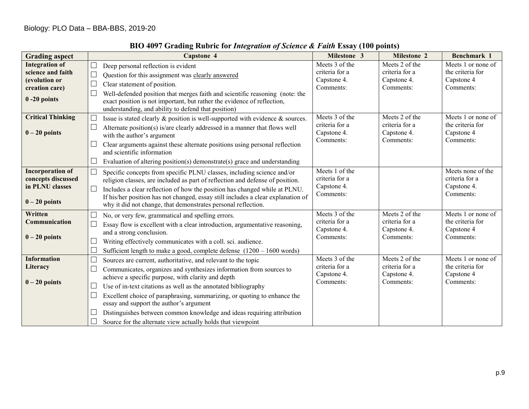| <b>Grading aspect</b>                                                                            | <b>Capstone 4</b>                                                                                                                                                                                                                                                                                                                                                                                                                                                                                                            | Milestone 3                                                                    | <b>Milestone 2</b>                                                             | Benchmark 1                                                       |
|--------------------------------------------------------------------------------------------------|------------------------------------------------------------------------------------------------------------------------------------------------------------------------------------------------------------------------------------------------------------------------------------------------------------------------------------------------------------------------------------------------------------------------------------------------------------------------------------------------------------------------------|--------------------------------------------------------------------------------|--------------------------------------------------------------------------------|-------------------------------------------------------------------|
| <b>Integration of</b><br>science and faith<br>(evolution or<br>creation care)<br>$0 - 20$ points | Deep personal reflection is evident<br>Question for this assignment was clearly answered<br>Clear statement of position.<br>Well-defended position that merges faith and scientific reasoning (note: the<br>exact position is not important, but rather the evidence of reflection,<br>understanding, and ability to defend that position)                                                                                                                                                                                   | Meets 3 of the<br>criteria for a<br>Capstone 4.<br>Comments:<br>Meets 3 of the | Meets 2 of the<br>criteria for a<br>Capstone 4.<br>Comments:<br>Meets 2 of the | Meets 1 or none of<br>the criteria for<br>Capstone 4<br>Comments: |
| <b>Critical Thinking</b><br>$0 - 20$ points                                                      | Issue is stated clearly & position is well-supported with evidence & sources.<br>Alternate position(s) is/are clearly addressed in a manner that flows well<br>with the author's argument<br>Clear arguments against these alternate positions using personal reflection<br>and scientific information<br>Evaluation of altering position(s) demonstrate(s) grace and understanding                                                                                                                                          | criteria for a<br>Capstone 4.<br>Comments:                                     | criteria for a<br>Capstone 4.<br>Comments:                                     | Meets 1 or none of<br>the criteria for<br>Capstone 4<br>Comments: |
| <b>Incorporation of</b><br>concepts discussed<br>in PLNU classes<br>$0 - 20$ points              | $\mathbf{L}$<br>Specific concepts from specific PLNU classes, including science and/or<br>religion classes, are included as part of reflection and defense of position.<br>Includes a clear reflection of how the position has changed while at PLNU.<br>$\mathbf{L}$<br>If his/her position has not changed, essay still includes a clear explanation of<br>why it did not change, that demonstrates personal reflection.                                                                                                   | Meets 1 of the<br>criteria for a<br>Capstone 4.<br>Comments:                   |                                                                                | Meets none of the<br>criteria for a<br>Capstone 4.<br>Comments:   |
| Written<br>Communication<br>$0 - 20$ points                                                      | No, or very few, grammatical and spelling errors.<br>Essay flow is excellent with a clear introduction, argumentative reasoning,<br>and a strong conclusion.<br>Writing effectively communicates with a coll. sci. audience.<br>Sufficient length to make a good, complete defense $(1200 - 1600$ words)                                                                                                                                                                                                                     | Meets 3 of the<br>criteria for a<br>Capstone 4.<br>Comments:                   | Meets 2 of the<br>criteria for a<br>Capstone 4.<br>Comments:                   | Meets 1 or none of<br>the criteria for<br>Capstone 4<br>Comments: |
| <b>Information</b><br>Literacy<br>$0 - 20$ points                                                | Sources are current, authoritative, and relevant to the topic<br>Communicates, organizes and synthesizes information from sources to<br>achieve a specific purpose, with clarity and depth<br>Use of in-text citations as well as the annotated bibliography<br>Excellent choice of paraphrasing, summarizing, or quoting to enhance the<br>essay and support the author's argument<br>Distinguishes between common knowledge and ideas requiring attribution<br>Source for the alternate view actually holds that viewpoint | Meets 3 of the<br>criteria for a<br>Capstone 4.<br>Comments:                   | Meets 2 of the<br>criteria for a<br>Capstone 4.<br>Comments:                   | Meets 1 or none of<br>the criteria for<br>Capstone 4<br>Comments: |

# **BIO 4097 Grading Rubric for** *Integration of Science & Faith* **Essay (100 points)**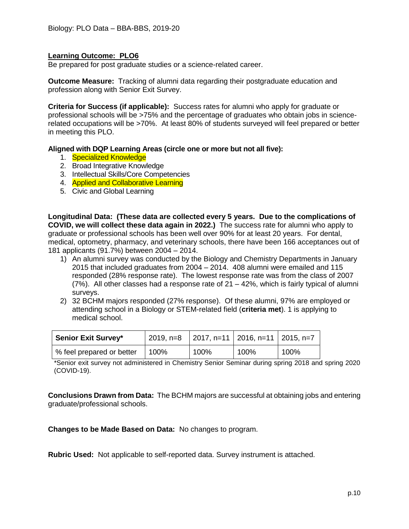Be prepared for post graduate studies or a science-related career.

**Outcome Measure:** Tracking of alumni data regarding their postgraduate education and profession along with Senior Exit Survey.

**Criteria for Success (if applicable):** Success rates for alumni who apply for graduate or professional schools will be >75% and the percentage of graduates who obtain jobs in sciencerelated occupations will be >70%. At least 80% of students surveyed will feel prepared or better in meeting this PLO.

#### **Aligned with DQP Learning Areas (circle one or more but not all five):**

- 1. Specialized Knowledge
- 2. Broad Integrative Knowledge
- 3. Intellectual Skills/Core Competencies
- 4. Applied and Collaborative Learning
- 5. Civic and Global Learning

**Longitudinal Data: (These data are collected every 5 years. Due to the complications of COVID, we will collect these data again in 2022.)** The success rate for alumni who apply to graduate or professional schools has been well over 90% for at least 20 years. For dental, medical, optometry, pharmacy, and veterinary schools, there have been 166 acceptances out of 181 applicants (91.7%) between 2004 – 2014.

- 1) An alumni survey was conducted by the Biology and Chemistry Departments in January 2015 that included graduates from 2004 – 2014. 408 alumni were emailed and 115 responded (28% response rate). The lowest response rate was from the class of 2007 (7%). All other classes had a response rate of 21 – 42%, which is fairly typical of alumni surveys.
- 2) 32 BCHM majors responded (27% response). Of these alumni, 97% are employed or attending school in a Biology or STEM-related field (**criteria met**). 1 is applying to medical school.

| <b>Senior Exit Survey*</b> | 2019, n=8 | 2017, n=11   2016, n=11   2015, n=7 |      |      |
|----------------------------|-----------|-------------------------------------|------|------|
| % feel prepared or better  | 100%      | 100%                                | 100% | 100% |

\*Senior exit survey not administered in Chemistry Senior Seminar during spring 2018 and spring 2020 (COVID-19).

**Conclusions Drawn from Data:** The BCHM majors are successful at obtaining jobs and entering graduate/professional schools.

**Changes to be Made Based on Data:** No changes to program.

**Rubric Used:** Not applicable to self-reported data. Survey instrument is attached.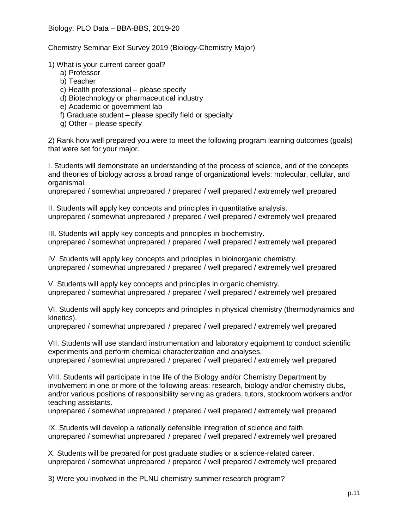Chemistry Seminar Exit Survey 2019 (Biology-Chemistry Major)

1) What is your current career goal?

- a) Professor
- b) Teacher
- c) Health professional please specify
- d) Biotechnology or pharmaceutical industry
- e) Academic or government lab
- f) Graduate student please specify field or specialty
- g) Other please specify

2) Rank how well prepared you were to meet the following program learning outcomes (goals) that were set for your major.

I. Students will demonstrate an understanding of the process of science, and of the concepts and theories of biology across a broad range of organizational levels: molecular, cellular, and organismal.

unprepared / somewhat unprepared / prepared / well prepared / extremely well prepared

II. Students will apply key concepts and principles in quantitative analysis. unprepared / somewhat unprepared / prepared / well prepared / extremely well prepared

III. Students will apply key concepts and principles in biochemistry. unprepared / somewhat unprepared / prepared / well prepared / extremely well prepared

IV. Students will apply key concepts and principles in bioinorganic chemistry. unprepared / somewhat unprepared / prepared / well prepared / extremely well prepared

V. Students will apply key concepts and principles in organic chemistry. unprepared / somewhat unprepared / prepared / well prepared / extremely well prepared

VI. Students will apply key concepts and principles in physical chemistry (thermodynamics and kinetics).

unprepared / somewhat unprepared / prepared / well prepared / extremely well prepared

VII. Students will use standard instrumentation and laboratory equipment to conduct scientific experiments and perform chemical characterization and analyses. unprepared / somewhat unprepared / prepared / well prepared / extremely well prepared

VIII. Students will participate in the life of the Biology and/or Chemistry Department by involvement in one or more of the following areas: research, biology and/or chemistry clubs, and/or various positions of responsibility serving as graders, tutors, stockroom workers and/or teaching assistants.

unprepared / somewhat unprepared / prepared / well prepared / extremely well prepared

IX. Students will develop a rationally defensible integration of science and faith. unprepared / somewhat unprepared / prepared / well prepared / extremely well prepared

X. Students will be prepared for post graduate studies or a science-related career. unprepared / somewhat unprepared / prepared / well prepared / extremely well prepared

3) Were you involved in the PLNU chemistry summer research program?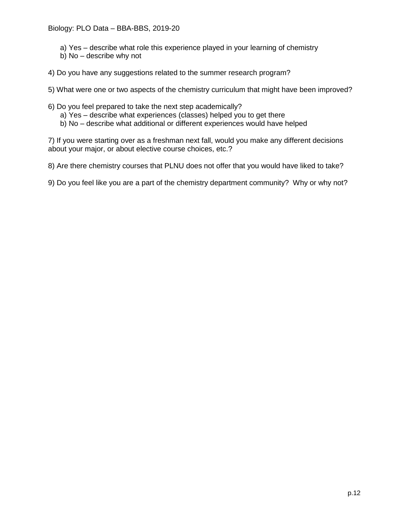- a) Yes describe what role this experience played in your learning of chemistry
- b) No describe why not
- 4) Do you have any suggestions related to the summer research program?

5) What were one or two aspects of the chemistry curriculum that might have been improved?

- 6) Do you feel prepared to take the next step academically?
	- a) Yes describe what experiences (classes) helped you to get there
	- b) No describe what additional or different experiences would have helped

7) If you were starting over as a freshman next fall, would you make any different decisions about your major, or about elective course choices, etc.?

8) Are there chemistry courses that PLNU does not offer that you would have liked to take?

9) Do you feel like you are a part of the chemistry department community? Why or why not?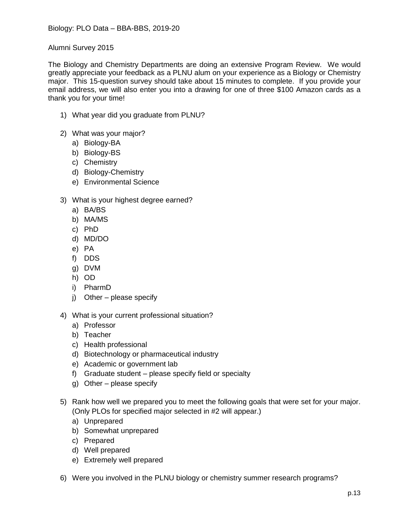Alumni Survey 2015

The Biology and Chemistry Departments are doing an extensive Program Review. We would greatly appreciate your feedback as a PLNU alum on your experience as a Biology or Chemistry major. This 15-question survey should take about 15 minutes to complete. If you provide your email address, we will also enter you into a drawing for one of three \$100 Amazon cards as a thank you for your time!

- 1) What year did you graduate from PLNU?
- 2) What was your major?
	- a) Biology-BA
	- b) Biology-BS
	- c) Chemistry
	- d) Biology-Chemistry
	- e) Environmental Science
- 3) What is your highest degree earned?
	- a) BA/BS
	- b) MA/MS
	- c) PhD
	- d) MD/DO
	- e) PA
	- f) DDS
	- g) DVM
	- h) OD
	- i) PharmD
	- j) Other please specify
- 4) What is your current professional situation?
	- a) Professor
	- b) Teacher
	- c) Health professional
	- d) Biotechnology or pharmaceutical industry
	- e) Academic or government lab
	- f) Graduate student please specify field or specialty
	- g) Other please specify
- 5) Rank how well we prepared you to meet the following goals that were set for your major. (Only PLOs for specified major selected in #2 will appear.)
	- a) Unprepared
	- b) Somewhat unprepared
	- c) Prepared
	- d) Well prepared
	- e) Extremely well prepared
- 6) Were you involved in the PLNU biology or chemistry summer research programs?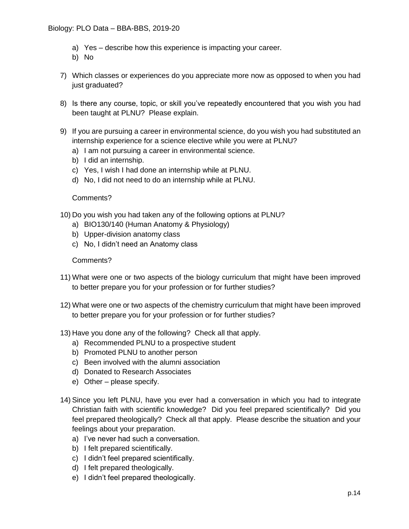- a) Yes describe how this experience is impacting your career.
- b) No
- 7) Which classes or experiences do you appreciate more now as opposed to when you had just graduated?
- 8) Is there any course, topic, or skill you've repeatedly encountered that you wish you had been taught at PLNU? Please explain.
- 9) If you are pursuing a career in environmental science, do you wish you had substituted an internship experience for a science elective while you were at PLNU?
	- a) I am not pursuing a career in environmental science.
	- b) I did an internship.
	- c) Yes, I wish I had done an internship while at PLNU.
	- d) No, I did not need to do an internship while at PLNU.

#### Comments?

- 10) Do you wish you had taken any of the following options at PLNU?
	- a) BIO130/140 (Human Anatomy & Physiology)
	- b) Upper-division anatomy class
	- c) No, I didn't need an Anatomy class

#### Comments?

- 11) What were one or two aspects of the biology curriculum that might have been improved to better prepare you for your profession or for further studies?
- 12) What were one or two aspects of the chemistry curriculum that might have been improved to better prepare you for your profession or for further studies?
- 13) Have you done any of the following? Check all that apply.
	- a) Recommended PLNU to a prospective student
	- b) Promoted PLNU to another person
	- c) Been involved with the alumni association
	- d) Donated to Research Associates
	- e) Other please specify.
- 14) Since you left PLNU, have you ever had a conversation in which you had to integrate Christian faith with scientific knowledge? Did you feel prepared scientifically? Did you feel prepared theologically? Check all that apply. Please describe the situation and your feelings about your preparation.
	- a) I've never had such a conversation.
	- b) I felt prepared scientifically.
	- c) I didn't feel prepared scientifically.
	- d) I felt prepared theologically.
	- e) I didn't feel prepared theologically.